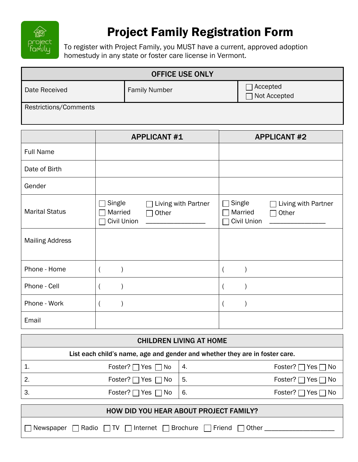

## Project Family Registration Form

To register with Project Family, you MUST have a current, approved adoption homestudy in any state or foster care license in Vermont.

| <b>OFFICE USE ONLY</b> |                      |                              |  |
|------------------------|----------------------|------------------------------|--|
| Date Received          | <b>Family Number</b> | ] Accepted<br>□ Not Accepted |  |
| Restrictions/Comments  |                      |                              |  |

|                        | <b>APPLICANT #1</b>                                                                   | <b>APPLICANT #2</b>                                                               |
|------------------------|---------------------------------------------------------------------------------------|-----------------------------------------------------------------------------------|
| <b>Full Name</b>       |                                                                                       |                                                                                   |
| Date of Birth          |                                                                                       |                                                                                   |
| Gender                 |                                                                                       |                                                                                   |
| <b>Marital Status</b>  | $\Box$ Single<br>$\Box$ Living with Partner<br>Married<br>$\Box$ Other<br>Civil Union | Single<br>Living with Partner<br>$\mathcal{L}$<br>Married<br>Other<br>Civil Union |
| <b>Mailing Address</b> |                                                                                       |                                                                                   |
| Phone - Home           | $\overline{ }$                                                                        |                                                                                   |
| Phone - Cell           |                                                                                       |                                                                                   |
| Phone - Work           | $\overline{\mathcal{L}}$                                                              |                                                                                   |
| Email                  |                                                                                       |                                                                                   |

| <b>CHILDREN LIVING AT HOME</b>                                                  |                              |    |                                 |  |
|---------------------------------------------------------------------------------|------------------------------|----|---------------------------------|--|
| List each child's name, age and gender and whether they are in foster care.     |                              |    |                                 |  |
| 1.                                                                              | Foster? $\Box$ Yes $\Box$ No | 4. | Foster? $\Box$ Yes $\Box$ No    |  |
| 2.                                                                              | Foster? $\Box$ Yes $\Box$ No | 5. | Foster? $\Box$ Yes $\Box$ No    |  |
| 3.                                                                              | Foster? $\Box$ Yes $\Box$ No | 6. | Foster? $\Box$<br>Yes $\Box$ No |  |
| HOW DID YOU HEAR ABOUT PROJECT FAMILY?                                          |                              |    |                                 |  |
| Brochure<br>Radio<br>Internet<br>Friend<br>Other<br>Newspaper<br>$\overline{1}$ |                              |    |                                 |  |